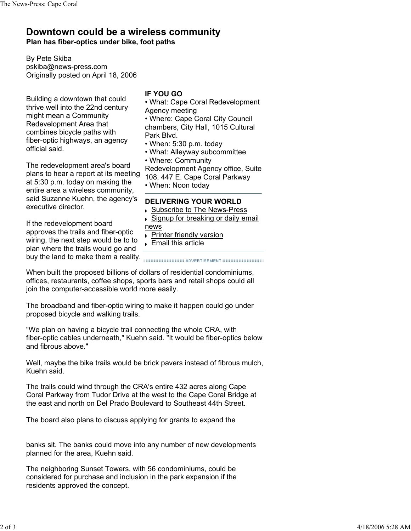## **Downtown could be a wireless community Plan has fiber-optics under bike, foot paths**

By Pete Skiba pskiba@news-press.com Originally posted on April 18, 2006

Building a downtown that could thrive well into the 22nd century might mean a Community Redevelopment Area that combines bicycle paths with fiber-optic highways, an agency official said.

The redevelopment area's board plans to hear a report at its meeting at 5:30 p.m. today on making the entire area a wireless community, said Suzanne Kuehn, the agency's executive director.

If the redevelopment board approves the trails and fiber-optic wiring, the next step would be to to plan where the trails would go and buy the land to make them a reality. **CONDUG ADDERTISEMENT INCONSTRUST** 

## **IF YOU GO**

• What: Cape Coral Redevelopment Agency meeting

• Where: Cape Coral City Council chambers, City Hall, 1015 Cultural Park Blvd.

- When: 5:30 p.m. today
- What: Alleyway subcommittee
- Where: Community

Redevelopment Agency office, Suite 108, 447 E. Cape Coral Parkway

• When: Noon today

## **DELIVERING YOUR WORLD**

- ▶ Subscribe to The News-Press
- ▶ Signup for breaking or daily email

news

- **Printer friendly version**
- **Email this article**

When built the proposed billions of dollars of residential condominiums, offices, restaurants, coffee shops, sports bars and retail shops could all join the computer-accessible world more easily.

The broadband and fiber-optic wiring to make it happen could go under proposed bicycle and walking trails.

"We plan on having a bicycle trail connecting the whole CRA, with fiber-optic cables underneath," Kuehn said. "It would be fiber-optics below and fibrous above."

Well, maybe the bike trails would be brick pavers instead of fibrous mulch, Kuehn said.

The trails could wind through the CRA's entire 432 acres along Cape Coral Parkway from Tudor Drive at the west to the Cape Coral Bridge at the east and north on Del Prado Boulevard to Southeast 44th Street.

The board also plans to discuss applying for grants to expand the

banks sit. The banks could move into any number of new developments planned for the area, Kuehn said.

The neighboring Sunset Towers, with 56 condominiums, could be considered for purchase and inclusion in the park expansion if the residents approved the concept.